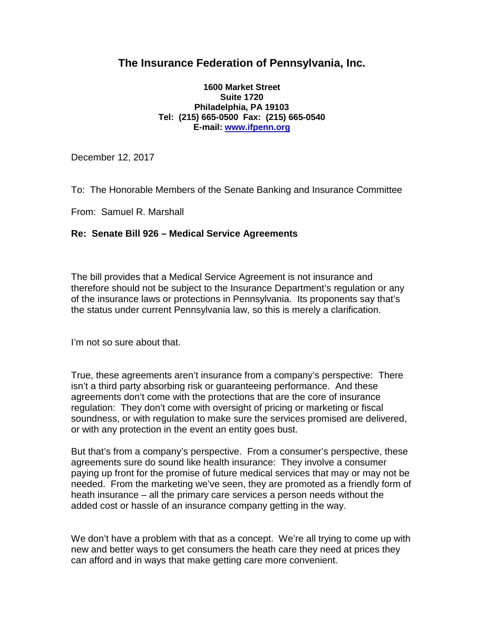## **The Insurance Federation of Pennsylvania, Inc.**

## **1600 Market Street Suite 1720 Philadelphia, PA 19103 Tel: (215) 665-0500 Fax: (215) 665-0540 E-mail: [www.ifpenn.org](http://www.ifpenn.org/)**

December 12, 2017

To: The Honorable Members of the Senate Banking and Insurance Committee

From: Samuel R. Marshall

## **Re: Senate Bill 926 – Medical Service Agreements**

The bill provides that a Medical Service Agreement is not insurance and therefore should not be subject to the Insurance Department's regulation or any of the insurance laws or protections in Pennsylvania. Its proponents say that's the status under current Pennsylvania law, so this is merely a clarification.

I'm not so sure about that.

True, these agreements aren't insurance from a company's perspective: There isn't a third party absorbing risk or guaranteeing performance. And these agreements don't come with the protections that are the core of insurance regulation: They don't come with oversight of pricing or marketing or fiscal soundness, or with regulation to make sure the services promised are delivered, or with any protection in the event an entity goes bust.

But that's from a company's perspective. From a consumer's perspective, these agreements sure do sound like health insurance: They involve a consumer paying up front for the promise of future medical services that may or may not be needed. From the marketing we've seen, they are promoted as a friendly form of heath insurance – all the primary care services a person needs without the added cost or hassle of an insurance company getting in the way.

We don't have a problem with that as a concept. We're all trying to come up with new and better ways to get consumers the heath care they need at prices they can afford and in ways that make getting care more convenient.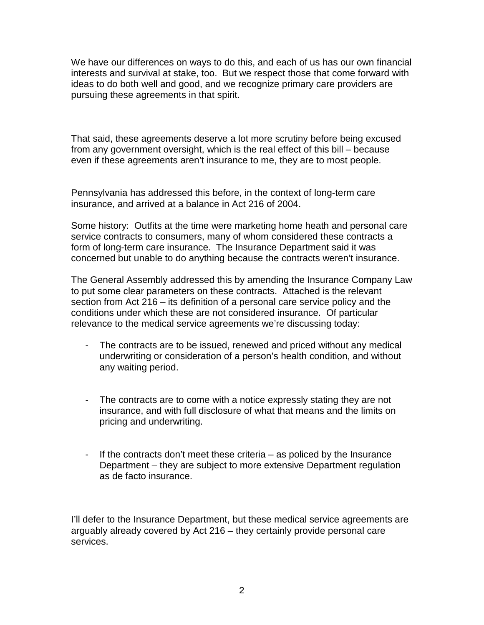We have our differences on ways to do this, and each of us has our own financial interests and survival at stake, too. But we respect those that come forward with ideas to do both well and good, and we recognize primary care providers are pursuing these agreements in that spirit.

That said, these agreements deserve a lot more scrutiny before being excused from any government oversight, which is the real effect of this bill – because even if these agreements aren't insurance to me, they are to most people.

Pennsylvania has addressed this before, in the context of long-term care insurance, and arrived at a balance in Act 216 of 2004.

Some history: Outfits at the time were marketing home heath and personal care service contracts to consumers, many of whom considered these contracts a form of long-term care insurance. The Insurance Department said it was concerned but unable to do anything because the contracts weren't insurance.

The General Assembly addressed this by amending the Insurance Company Law to put some clear parameters on these contracts. Attached is the relevant section from Act 216 – its definition of a personal care service policy and the conditions under which these are not considered insurance. Of particular relevance to the medical service agreements we're discussing today:

- The contracts are to be issued, renewed and priced without any medical underwriting or consideration of a person's health condition, and without any waiting period.
- The contracts are to come with a notice expressly stating they are not insurance, and with full disclosure of what that means and the limits on pricing and underwriting.
- If the contracts don't meet these criteria as policed by the Insurance Department – they are subject to more extensive Department regulation as de facto insurance.

I'll defer to the Insurance Department, but these medical service agreements are arguably already covered by Act 216 – they certainly provide personal care services.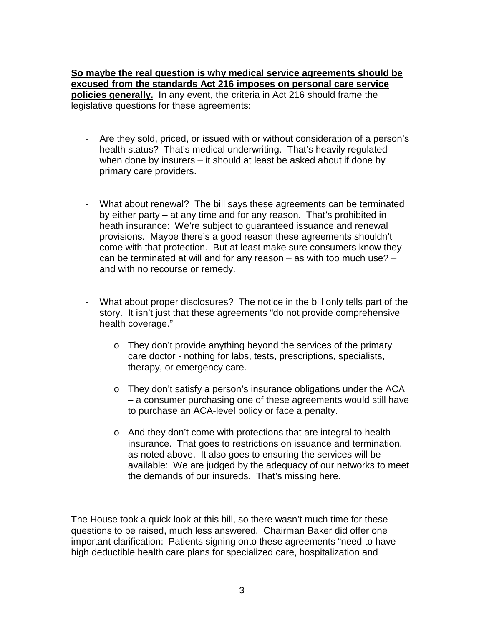**So maybe the real question is why medical service agreements should be excused from the standards Act 216 imposes on personal care service policies generally.** In any event, the criteria in Act 216 should frame the legislative questions for these agreements:

- Are they sold, priced, or issued with or without consideration of a person's health status? That's medical underwriting. That's heavily regulated when done by insurers – it should at least be asked about if done by primary care providers.
- What about renewal? The bill says these agreements can be terminated by either party – at any time and for any reason. That's prohibited in heath insurance: We're subject to guaranteed issuance and renewal provisions. Maybe there's a good reason these agreements shouldn't come with that protection. But at least make sure consumers know they can be terminated at will and for any reason – as with too much use? – and with no recourse or remedy.
- What about proper disclosures? The notice in the bill only tells part of the story. It isn't just that these agreements "do not provide comprehensive health coverage."
	- o They don't provide anything beyond the services of the primary care doctor - nothing for labs, tests, prescriptions, specialists, therapy, or emergency care.
	- o They don't satisfy a person's insurance obligations under the ACA – a consumer purchasing one of these agreements would still have to purchase an ACA-level policy or face a penalty.
	- o And they don't come with protections that are integral to health insurance. That goes to restrictions on issuance and termination, as noted above. It also goes to ensuring the services will be available: We are judged by the adequacy of our networks to meet the demands of our insureds. That's missing here.

The House took a quick look at this bill, so there wasn't much time for these questions to be raised, much less answered. Chairman Baker did offer one important clarification: Patients signing onto these agreements "need to have high deductible health care plans for specialized care, hospitalization and